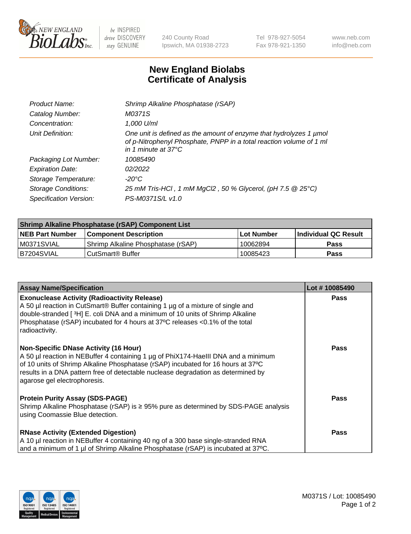

 $be$  INSPIRED drive DISCOVERY stay GENUINE

240 County Road Ipswich, MA 01938-2723 Tel 978-927-5054 Fax 978-921-1350 www.neb.com info@neb.com

## **New England Biolabs Certificate of Analysis**

| Product Name:           | Shrimp Alkaline Phosphatase (rSAP)                                                                                                                                         |
|-------------------------|----------------------------------------------------------------------------------------------------------------------------------------------------------------------------|
| Catalog Number:         | M0371S                                                                                                                                                                     |
| Concentration:          | 1,000 U/ml                                                                                                                                                                 |
| Unit Definition:        | One unit is defined as the amount of enzyme that hydrolyzes 1 µmol<br>of p-Nitrophenyl Phosphate, PNPP in a total reaction volume of 1 ml<br>in 1 minute at $37^{\circ}$ C |
| Packaging Lot Number:   | 10085490                                                                                                                                                                   |
| <b>Expiration Date:</b> | 02/2022                                                                                                                                                                    |
| Storage Temperature:    | $-20^{\circ}$ C                                                                                                                                                            |
| Storage Conditions:     | 25 mM Tris-HCl, 1 mM MgCl2, 50 % Glycerol, (pH 7.5 @ 25°C)                                                                                                                 |
| Specification Version:  | PS-M0371S/L v1.0                                                                                                                                                           |

| <b>Shrimp Alkaline Phosphatase (rSAP) Component List</b> |                                     |                   |                      |  |  |
|----------------------------------------------------------|-------------------------------------|-------------------|----------------------|--|--|
| <b>NEB Part Number</b>                                   | <b>Component Description</b>        | <b>Lot Number</b> | Individual QC Result |  |  |
| IM0371SVIAL                                              | 'Shrimp Alkaline Phosphatase (rSAP) | 10062894          | <b>Pass</b>          |  |  |
| IB7204SVIAL                                              | CutSmart® Buffer                    | 10085423          | <b>Pass</b>          |  |  |

| <b>Assay Name/Specification</b>                                                                                                                                                                                                                                                                                                             | Lot #10085490 |
|---------------------------------------------------------------------------------------------------------------------------------------------------------------------------------------------------------------------------------------------------------------------------------------------------------------------------------------------|---------------|
| <b>Exonuclease Activity (Radioactivity Release)</b><br>A 50 µl reaction in CutSmart® Buffer containing 1 µg of a mixture of single and<br>double-stranded [3H] E. coli DNA and a minimum of 10 units of Shrimp Alkaline<br>Phosphatase (rSAP) incubated for 4 hours at 37°C releases <0.1% of the total<br>radioactivity.                   | <b>Pass</b>   |
| <b>Non-Specific DNase Activity (16 Hour)</b><br>A 50 µl reaction in NEBuffer 4 containing 1 µg of PhiX174-HaeIII DNA and a minimum<br>of 10 units of Shrimp Alkaline Phosphatase (rSAP) incubated for 16 hours at 37°C<br>results in a DNA pattern free of detectable nuclease degradation as determined by<br>agarose gel electrophoresis. | <b>Pass</b>   |
| <b>Protein Purity Assay (SDS-PAGE)</b><br>Shrimp Alkaline Phosphatase (rSAP) is $\geq$ 95% pure as determined by SDS-PAGE analysis<br>using Coomassie Blue detection.                                                                                                                                                                       | Pass          |
| <b>RNase Activity (Extended Digestion)</b><br>A 10 µl reaction in NEBuffer 4 containing 40 ng of a 300 base single-stranded RNA<br>and a minimum of 1 µl of Shrimp Alkaline Phosphatase (rSAP) is incubated at 37°C.                                                                                                                        | Pass          |